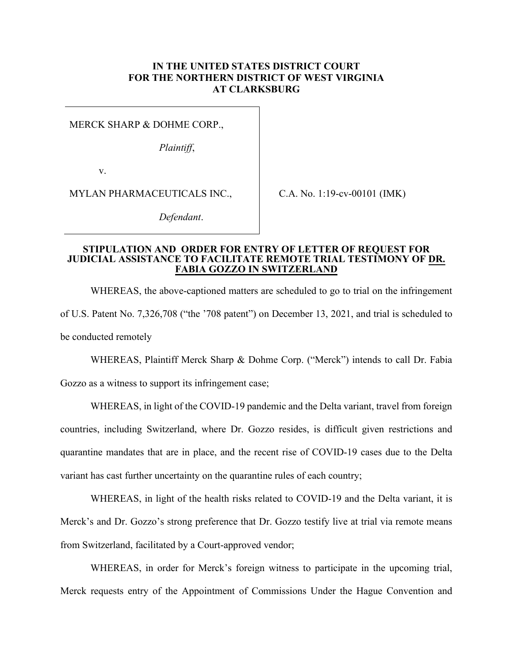## **IN THE UNITED STATES DISTRICT COURT FOR THE NORTHERN DISTRICT OF WEST VIRGINIA AT CLARKSBURG**

MERCK SHARP & DOHME CORP.,

*Plaintiff*,

v.

MYLAN PHARMACEUTICALS INC.,

C.A. No. 1:19-cv-00101 (IMK)

*Defendant*.

## **STIPULATION AND ORDER FOR ENTRY OF LETTER OF REQUEST FOR JUDICIAL ASSISTANCE TO FACILITATE REMOTE TRIAL TESTIMONY OF DR. FABIA GOZZO IN SWITZERLAND**

WHEREAS, the above-captioned matters are scheduled to go to trial on the infringement of U.S. Patent No. 7,326,708 ("the '708 patent") on December 13, 2021, and trial is scheduled to be conducted remotely

WHEREAS, Plaintiff Merck Sharp & Dohme Corp. ("Merck") intends to call Dr. Fabia

Gozzo as a witness to support its infringement case;

WHEREAS, in light of the COVID-19 pandemic and the Delta variant, travel from foreign countries, including Switzerland, where Dr. Gozzo resides, is difficult given restrictions and quarantine mandates that are in place, and the recent rise of COVID-19 cases due to the Delta variant has cast further uncertainty on the quarantine rules of each country;

WHEREAS, in light of the health risks related to COVID-19 and the Delta variant, it is Merck's and Dr. Gozzo's strong preference that Dr. Gozzo testify live at trial via remote means from Switzerland, facilitated by a Court-approved vendor;

WHEREAS, in order for Merck's foreign witness to participate in the upcoming trial, Merck requests entry of the Appointment of Commissions Under the Hague Convention and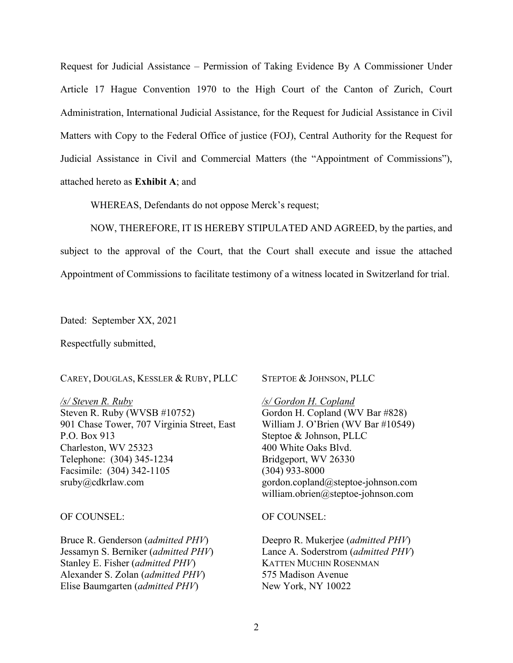Request for Judicial Assistance – Permission of Taking Evidence By A Commissioner Under Article 17 Hague Convention 1970 to the High Court of the Canton of Zurich, Court Administration, International Judicial Assistance, for the Request for Judicial Assistance in Civil Matters with Copy to the Federal Office of justice (FOJ), Central Authority for the Request for Judicial Assistance in Civil and Commercial Matters (the "Appointment of Commissions"), attached hereto as **Exhibit A**; and

WHEREAS, Defendants do not oppose Merck's request;

NOW, THEREFORE, IT IS HEREBY STIPULATED AND AGREED, by the parties, and subject to the approval of the Court, that the Court shall execute and issue the attached Appointment of Commissions to facilitate testimony of a witness located in Switzerland for trial.

Dated: September XX, 2021

Respectfully submitted,

CAREY, DOUGLAS, KESSLER & RUBY, PLLC

*/s/ Steven R. Ruby*  Steven R. Ruby (WVSB #10752) 901 Chase Tower, 707 Virginia Street, East P.O. Box 913 Charleston, WV 25323 Telephone: (304) 345-1234 Facsimile: (304) 342-1105 sruby@cdkrlaw.com

OF COUNSEL:

Bruce R. Genderson (*admitted PHV*) Jessamyn S. Berniker (*admitted PHV*) Stanley E. Fisher (*admitted PHV*) Alexander S. Zolan (*admitted PHV*) Elise Baumgarten (*admitted PHV*)

STEPTOE & JOHNSON, PLLC

*/s/ Gordon H. Copland*  Gordon H. Copland (WV Bar #828) William J. O'Brien (WV Bar #10549) Steptoe & Johnson, PLLC 400 White Oaks Blvd. Bridgeport, WV 26330 (304) 933-8000 gordon.copland@steptoe-johnson.com william.obrien@steptoe-johnson.com

OF COUNSEL:

Deepro R. Mukerjee (*admitted PHV*) Lance A. Soderstrom (*admitted PHV*) KATTEN MUCHIN ROSENMAN 575 Madison Avenue New York, NY 10022